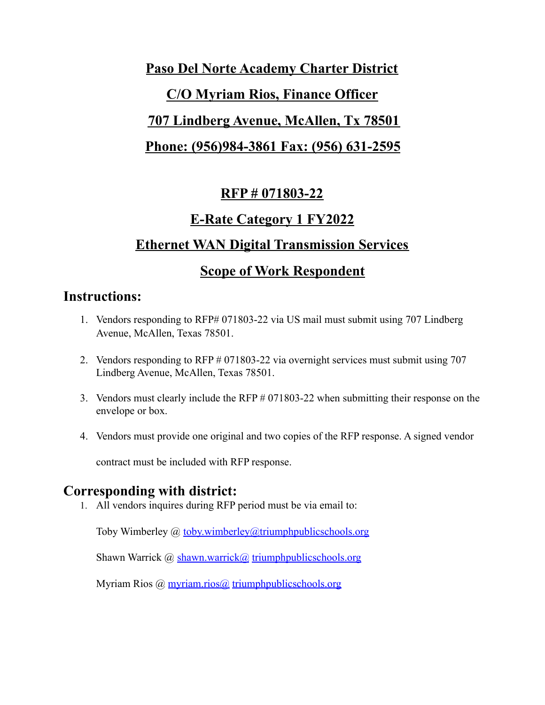# **Paso Del Norte Academy Charter District C/O Myriam Rios, Finance Officer 707 Lindberg Avenue, McAllen, Tx 78501 Phone: (956)984-3861 Fax: (956) 631-2595**

# **RFP # 071803-22**

# **E-Rate Category 1 FY2022**

# **Ethernet WAN Digital Transmission Services**

# **Scope of Work Respondent**

### **Instructions:**

- 1. Vendors responding to RFP# 071803-22 via US mail must submit using 707 Lindberg Avenue, McAllen, Texas 78501.
- 2. Vendors responding to RFP # 071803-22 via overnight services must submit using 707 Lindberg Avenue, McAllen, Texas 78501.
- 3. Vendors must clearly include the RFP # 071803-22 when submitting their response on the envelope or box.
- 4. Vendors must provide one original and two copies of the RFP response. A signed vendor

contract must be included with RFP response.

### **Corresponding with district:**

1. All vendors inquires during RFP period must be via email to:

Toby Wimberley @ [toby.wimberley@triumphpublicschools.org](mailto:toby.wimberley@triumphpublicschools.org)

Shawn Warrick @ shawn.warrick@ [triumphpublicschools.org](mailto:shawn.warrick@sapicsc.org)

Myriam Rios @ myriam.rios @ triumphpublics chools.org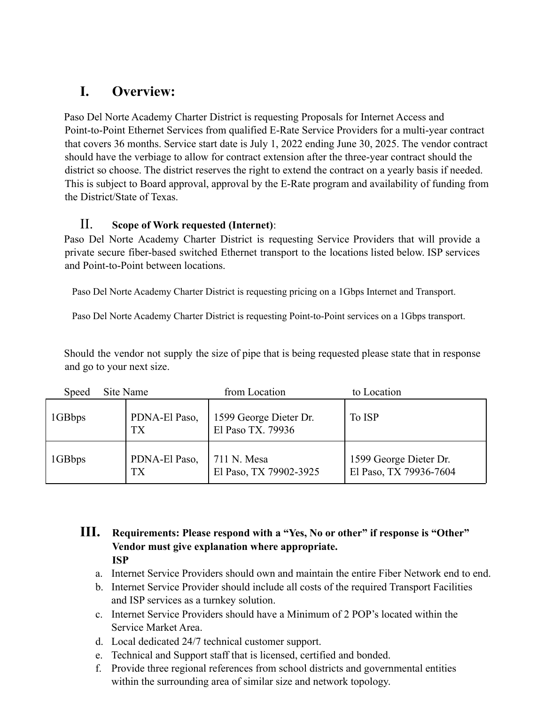# **I. Overview:**

Paso Del Norte Academy Charter District is requesting Proposals for Internet Access and Point-to-Point Ethernet Services from qualified E-Rate Service Providers for a multi-year contract that covers 36 months. Service start date is July 1, 2022 ending June 30, 2025. The vendor contract should have the verbiage to allow for contract extension after the three-year contract should the district so choose. The district reserves the right to extend the contract on a yearly basis if needed. This is subject to Board approval, approval by the E-Rate program and availability of funding from the District/State of Texas.

### II. **Scope of Work requested (Internet)**:

Paso Del Norte Academy Charter District is requesting Service Providers that will provide a private secure fiber-based switched Ethernet transport to the locations listed below. ISP services and Point-to-Point between locations.

Paso Del Norte Academy Charter District is requesting pricing on a 1Gbps Internet and Transport.

Paso Del Norte Academy Charter District is requesting Point-to-Point services on a 1Gbps transport.

Should the vendor not supply the size of pipe that is being requested please state that in response and go to your next size.

| <b>Speed</b> | Site Name |                     | from Location                               | to Location                                      |  |
|--------------|-----------|---------------------|---------------------------------------------|--------------------------------------------------|--|
| 1GBbps       |           | PDNA-El Paso,<br>TX | 1599 George Dieter Dr.<br>El Paso TX. 79936 | To ISP                                           |  |
| 1GBbps       |           | PDNA-El Paso,<br>TX | 711 N. Mesa<br>El Paso, TX 79902-3925       | 1599 George Dieter Dr.<br>El Paso, TX 79936-7604 |  |

### **III. Requirements: Please respond with a "Yes, No or other" if response is "Other" Vendor must give explanation where appropriate. ISP**

- a. Internet Service Providers should own and maintain the entire Fiber Network end to end.
- b. Internet Service Provider should include all costs of the required Transport Facilities and ISP services as a turnkey solution.
- c. Internet Service Providers should have a Minimum of 2 POP's located within the Service Market Area.
- d. Local dedicated 24/7 technical customer support.
- e. Technical and Support staff that is licensed, certified and bonded.
- f. Provide three regional references from school districts and governmental entities within the surrounding area of similar size and network topology.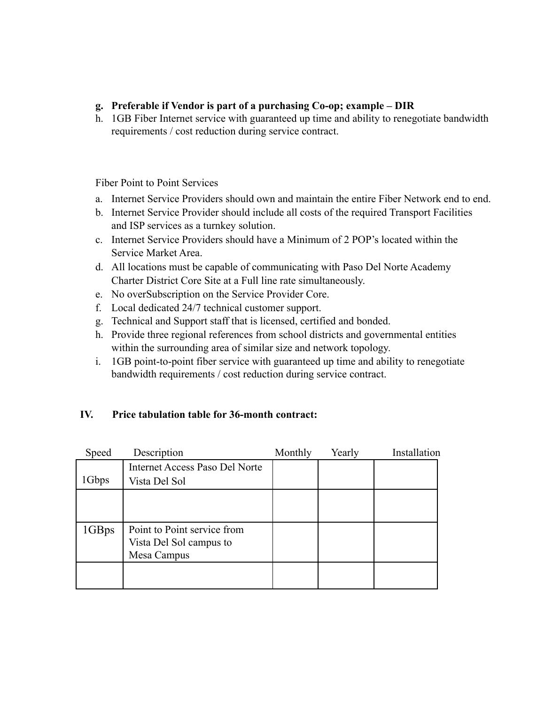- **g. Preferable if Vendor is part of a purchasing Co-op; example DIR**
- h. 1GB Fiber Internet service with guaranteed up time and ability to renegotiate bandwidth requirements / cost reduction during service contract.

Fiber Point to Point Services

- a. Internet Service Providers should own and maintain the entire Fiber Network end to end.
- b. Internet Service Provider should include all costs of the required Transport Facilities and ISP services as a turnkey solution.
- c. Internet Service Providers should have a Minimum of 2 POP's located within the Service Market Area.
- d. All locations must be capable of communicating with Paso Del Norte Academy Charter District Core Site at a Full line rate simultaneously.
- e. No overSubscription on the Service Provider Core.
- f. Local dedicated 24/7 technical customer support.
- g. Technical and Support staff that is licensed, certified and bonded.
- h. Provide three regional references from school districts and governmental entities within the surrounding area of similar size and network topology.
- i. 1GB point-to-point fiber service with guaranteed up time and ability to renegotiate bandwidth requirements / cost reduction during service contract.

### **IV. Price tabulation table for 36-month contract:**

| Speed | Description                    | Monthly | Yearly | Installation |
|-------|--------------------------------|---------|--------|--------------|
|       | Internet Access Paso Del Norte |         |        |              |
| 1Gbps | Vista Del Sol                  |         |        |              |
|       |                                |         |        |              |
|       |                                |         |        |              |
| 1GBps | Point to Point service from    |         |        |              |
|       | Vista Del Sol campus to        |         |        |              |
|       | Mesa Campus                    |         |        |              |
|       |                                |         |        |              |
|       |                                |         |        |              |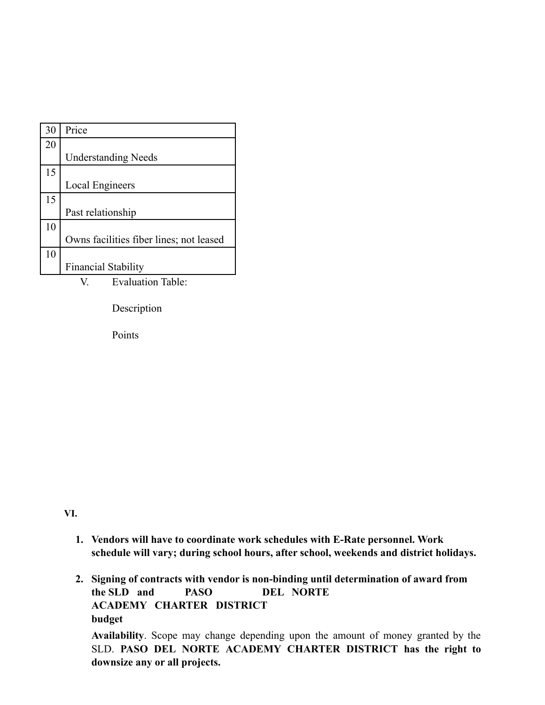| 30 | Price                                   |
|----|-----------------------------------------|
| 20 |                                         |
|    | <b>Understanding Needs</b>              |
| 15 |                                         |
|    | <b>Local Engineers</b>                  |
| 15 |                                         |
|    | Past relationship                       |
| 10 |                                         |
|    | Owns facilities fiber lines; not leased |
| 10 |                                         |
|    | <b>Financial Stability</b>              |

V. Evaluation Table:

Description

Points

**VI.**

- **1. Vendors will have to coordinate work schedules with E-Rate personnel. Work schedule will vary; during school hours, after school, weekends and district holidays.**
- **2. Signing of contracts with vendor is non-binding until determination of award from the SLD and PASO DEL NORTE ACADEMY CHARTER DISTRICT budget**

**Availability**. Scope may change depending upon the amount of money granted by the SLD. **PASO DEL NORTE ACADEMY CHARTER DISTRICT has the right to downsize any or all projects.**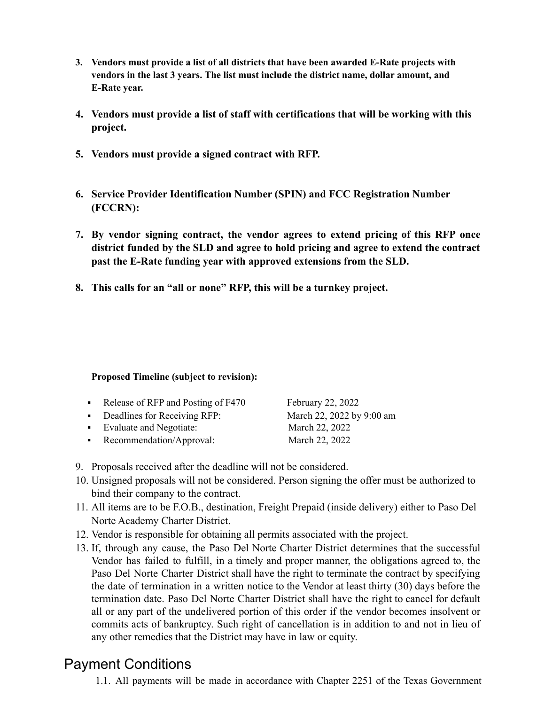- **3. Vendors must provide a list of all districts that have been awarded E-Rate projects with vendors in the last 3 years. The list must include the district name, dollar amount, and E-Rate year.**
- **4. Vendors must provide a list of staff with certifications that will be working with this project.**
- **5. Vendors must provide a signed contract with RFP.**
- **6. Service Provider Identification Number (SPIN) and FCC Registration Number (FCCRN):**
- **7. By vendor signing contract, the vendor agrees to extend pricing of this RFP once district funded by the SLD and agree to hold pricing and agree to extend the contract past the E-Rate funding year with approved extensions from the SLD.**
- **8. This calls for an "all or none" RFP, this will be a turnkey project.**

#### **Proposed Timeline (subject to revision):**

| • Release of RFP and Posting of $F470$ | February 22, 2022         |
|----------------------------------------|---------------------------|
| • Deadlines for Receiving RFP:         | March 22, 2022 by 9:00 am |
| • Evaluate and Negotiate:              | March 22, 2022            |
| • Recommendation/Approval:             | March 22, 2022            |

- 9. Proposals received after the deadline will not be considered.
- 10. Unsigned proposals will not be considered. Person signing the offer must be authorized to bind their company to the contract.
- 11. All items are to be F.O.B., destination, Freight Prepaid (inside delivery) either to Paso Del Norte Academy Charter District.
- 12. Vendor is responsible for obtaining all permits associated with the project.
- 13. If, through any cause, the Paso Del Norte Charter District determines that the successful Vendor has failed to fulfill, in a timely and proper manner, the obligations agreed to, the Paso Del Norte Charter District shall have the right to terminate the contract by specifying the date of termination in a written notice to the Vendor at least thirty (30) days before the termination date. Paso Del Norte Charter District shall have the right to cancel for default all or any part of the undelivered portion of this order if the vendor becomes insolvent or commits acts of bankruptcy. Such right of cancellation is in addition to and not in lieu of any other remedies that the District may have in law or equity.

# Payment Conditions

1.1. All payments will be made in accordance with Chapter 2251 of the Texas Government